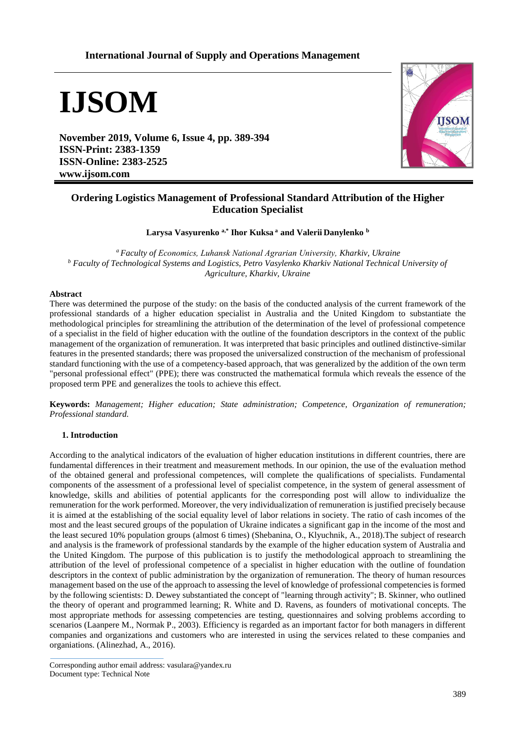## **International Journal of Supply and Operations Management**

# **IJSOM**

**November 2019, Volume 6, Issue 4, pp. 389-394 ISSN-Print: 2383-1359 ISSN-Online: 2383-2525 www.ijsom.com**



## **Ordering Logistics Management of Professional Standard Attribution of the Higher Education Specialist**

**Larysa Vasyurenko a,\* Ihor Kuksa <sup>a</sup> and Valerii Danylenko <sup>b</sup>**

*<sup>a</sup>Faculty of Еconomics, Luhansk National Agrarian University, Kharkiv, Ukraine <sup>b</sup> Faculty of Technological Systems and Logistics, Petro Vasylenko Kharkiv National Technical University of Agriculture, Kharkiv, Ukraine*

#### **Abstract**

There was determined the purpose of the study: on the basis of the conducted analysis of the current framework of the professional standards of a higher education specialist in Australia and the United Kingdom to substantiate the methodological principles for streamlining the attribution of the determination of the level of professional competence of a specialist in the field of higher education with the outline of the foundation descriptors in the context of the public management of the organization of remuneration. It was interpreted that basic principles and outlined distinctive-similar features in the presented standards; there was proposed the universalized construction of the mechanism of professional standard functioning with the use of a competency-based approach, that was generalized by the addition of the own term "personal professional effect" (PPE); there was constructed the mathematical formula which reveals the essence of the proposed term PPE and generalizes the tools to achieve this effect.

**Keywords:** *Management; Higher education; State administration; Competence, Organization of remuneration; Professional standard.*

### **1. Introduction**

According to the analytical indicators of the evaluation of higher education institutions in different countries, there are fundamental differences in their treatment and measurement methods. In our opinion, the use of the evaluation method of the obtained general and professional competences, will complete the qualifications of specialists. Fundamental components of the assessment of a professional level of specialist competence, in the system of general assessment of knowledge, skills and abilities of potential applicants for the corresponding post will allow to individualize the remuneration for the work performed. Moreover, the very individualization of remuneration is justified precisely because it is aimed at the establishing of the social equality level of labor relations in society. The ratio of cash incomes of the most and the least secured groups of the population of Ukraine indicates a significant gap in the income of the most and the least secured 10% population groups (almost 6 times) (Shebanina, O., Klyuchnik, A., 2018).The subject of research and analysis is the framework of professional standards by the example of the higher education system of Australia and the United Kingdom. The purpose of this publication is to justify the methodological approach to streamlining the attribution of the level of professional competence of a specialist in higher education with the outline of foundation descriptors in the context of public administration by the organization of remuneration. The theory of human resources management based on the use of the approach to assessing the level of knowledge of professional competencies is formed by the following scientists: D. Dewey substantiated the concept of "learning through activity"; B. Skinner, who outlined the theory of operant and programmed learning; R. White and D. Ravens, as founders of motivational concepts. The most appropriate methods for assessing competencies are testing, questionnaires and solving problems according to scenarios (Laanpere M., Normak P., 2003). Efficiency is regarded as an important factor for both managers in different companies and organizations and customers who are interested in using the services related to these companies and organiations. (Alinezhad, A., 2016).

Corresponding author email address: vasulara@yandex.ru Document type: Technical Note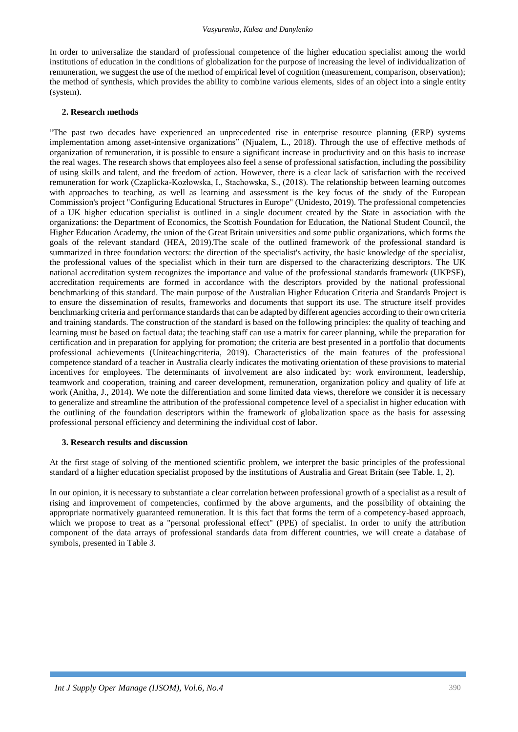In order to universalize the standard of professional competence of the higher education specialist among the world institutions of education in the conditions of globalization for the purpose of increasing the level of individualization of remuneration, we suggest the use of the method of empirical level of cognition (measurement, comparison, observation); the method of synthesis, which provides the ability to combine various elements, sides of an object into a single entity (system).

#### **2. Research methods**

"The past two decades have experienced an unprecedented rise in enterprise resource planning (ERP) systems implementation among asset-intensive organizations" (Njualem, L., 2018). Through the use of effective methods of organization of remuneration, it is possible to ensure a significant increase in productivity and on this basis to increase the real wages. The research shows that employees also feel a sense of professional satisfaction, including the possibility of using skills and talent, and the freedom of action. However, there is a clear lack of satisfaction with the received remuneration for work (Czaplicka-Kozłowska, I., Stachowska, S., (2018). The relationship between learning outcomes with approaches to teaching, as well as learning and assessment is the key focus of the study of the European Commission's project "Configuring Educational Structures in Europe" (Unidesto, 2019). The professional competencies of a UK higher education specialist is outlined in a single document created by the State in association with the organizations: the Department of Economics, the Scottish Foundation for Education, the National Student Council, the Higher Education Academy, the union of the Great Britain universities and some public organizations, which forms the goals of the relevant standard (HEA, 2019).The scale of the outlined framework of the professional standard is summarized in three foundation vectors: the direction of the specialist's activity, the basic knowledge of the specialist, the professional values of the specialist which in their turn are dispersed to the characterizing descriptors. The UK national accreditation system recognizes the importance and value of the professional standards framework (UKPSF), accreditation requirements are formed in accordance with the descriptors provided by the national professional benchmarking of this standard. The main purpose of the Australian Higher Education Criteria and Standards Project is to ensure the dissemination of results, frameworks and documents that support its use. The structure itself provides benchmarking criteria and performance standards that can be adapted by different agencies according to their own criteria and training standards. The construction of the standard is based on the following principles: the quality of teaching and learning must be based on factual data; the teaching staff can use a matrix for career planning, while the preparation for certification and in preparation for applying for promotion; the criteria are best presented in a portfolio that documents professional achievements (Uniteachingcriteria, 2019). Characteristics of the main features of the professional competence standard of a teacher in Australia clearly indicates the motivating orientation of these provisions to material incentives for employees. The determinants of involvement are also indicated by: work environment, leadership, teamwork and cooperation, training and career development, remuneration, organization policy and quality of life at work (Anitha, J., 2014). We note the differentiation and some limited data views, therefore we consider it is necessary to generalize and streamline the attribution of the professional competence level of a specialist in higher education with the outlining of the foundation descriptors within the framework of globalization space as the basis for assessing professional personal efficiency and determining the individual cost of labor.

#### **3. Research results and discussion**

At the first stage of solving of the mentioned scientific problem, we interpret the basic principles of the professional standard of a higher education specialist proposed by the institutions of Australia and Great Britain (see Table. 1, 2).

In our opinion, it is necessary to substantiate a clear correlation between professional growth of a specialist as a result of rising and improvement of competencies, confirmed by the above arguments, and the possibility of obtaining the appropriate normatively guaranteed remuneration. It is this fact that forms the term of a competency-based approach, which we propose to treat as a "personal professional effect" (PPE) of specialist. In order to unify the attribution component of the data arrays of professional standards data from different countries, we will create a database of symbols, presented in Table 3.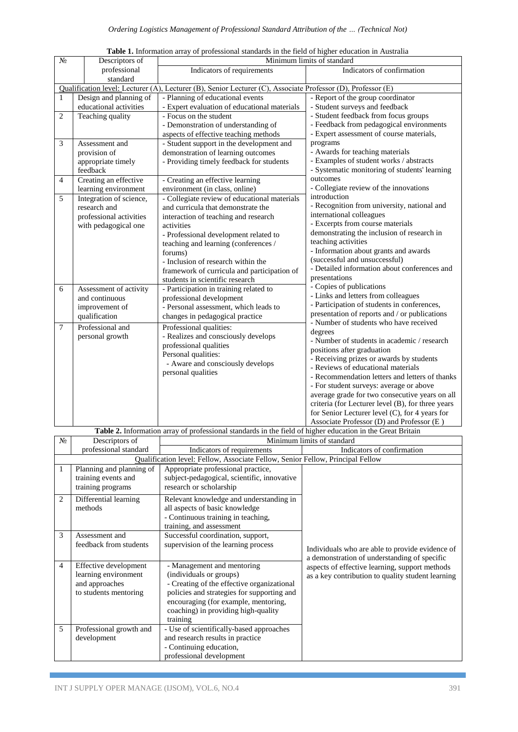| $N_{\! \! \Omega}$                                                                                           | Descriptors of          | Minimum limits of standard                   |                                                   |  |  |  |  |  |
|--------------------------------------------------------------------------------------------------------------|-------------------------|----------------------------------------------|---------------------------------------------------|--|--|--|--|--|
|                                                                                                              | professional            | Indicators of requirements                   | Indicators of confirmation                        |  |  |  |  |  |
|                                                                                                              | standard                |                                              |                                                   |  |  |  |  |  |
| Qualification level: Lecturer (A), Lecturer (B), Senior Lecturer (C), Associate Professor (D), Professor (E) |                         |                                              |                                                   |  |  |  |  |  |
| $\mathbf{1}$                                                                                                 | Design and planning of  | - Planning of educational events             | - Report of the group coordinator                 |  |  |  |  |  |
|                                                                                                              | educational activities  | - Expert evaluation of educational materials | - Student surveys and feedback                    |  |  |  |  |  |
| $\mathfrak{2}$                                                                                               | Teaching quality        | - Focus on the student                       | - Student feedback from focus groups              |  |  |  |  |  |
|                                                                                                              |                         | - Demonstration of understanding of          | - Feedback from pedagogical environments          |  |  |  |  |  |
|                                                                                                              |                         | aspects of effective teaching methods        | - Expert assessment of course materials,          |  |  |  |  |  |
| $\mathfrak{Z}$                                                                                               | Assessment and          | - Student support in the development and     | programs                                          |  |  |  |  |  |
|                                                                                                              | provision of            | demonstration of learning outcomes           | - Awards for teaching materials                   |  |  |  |  |  |
|                                                                                                              | appropriate timely      | - Providing timely feedback for students     | - Examples of student works / abstracts           |  |  |  |  |  |
|                                                                                                              | feedback                |                                              | - Systematic monitoring of students' learning     |  |  |  |  |  |
| 4                                                                                                            | Creating an effective   | - Creating an effective learning             | outcomes                                          |  |  |  |  |  |
|                                                                                                              | learning environment    | environment (in class, online)               | - Collegiate review of the innovations            |  |  |  |  |  |
| 5                                                                                                            | Integration of science, | - Collegiate review of educational materials | introduction                                      |  |  |  |  |  |
|                                                                                                              | research and            | and curricula that demonstrate the           | - Recognition from university, national and       |  |  |  |  |  |
|                                                                                                              | professional activities | interaction of teaching and research         | international colleagues                          |  |  |  |  |  |
|                                                                                                              | with pedagogical one    | activities                                   | - Excerpts from course materials                  |  |  |  |  |  |
|                                                                                                              |                         | - Professional development related to        | demonstrating the inclusion of research in        |  |  |  |  |  |
|                                                                                                              |                         | teaching and learning (conferences /         | teaching activities                               |  |  |  |  |  |
|                                                                                                              |                         | forums)                                      | - Information about grants and awards             |  |  |  |  |  |
|                                                                                                              |                         | - Inclusion of research within the           | (successful and unsuccessful)                     |  |  |  |  |  |
|                                                                                                              |                         | framework of curricula and participation of  | - Detailed information about conferences and      |  |  |  |  |  |
|                                                                                                              |                         | students in scientific research              | presentations                                     |  |  |  |  |  |
| 6                                                                                                            | Assessment of activity  | - Participation in training related to       | - Copies of publications                          |  |  |  |  |  |
|                                                                                                              | and continuous          | professional development                     | - Links and letters from colleagues               |  |  |  |  |  |
|                                                                                                              | improvement of          | - Personal assessment, which leads to        | - Participation of students in conferences,       |  |  |  |  |  |
|                                                                                                              | qualification           | changes in pedagogical practice              | presentation of reports and / or publications     |  |  |  |  |  |
| $7\phantom{.0}$                                                                                              | Professional and        | Professional qualities:                      | - Number of students who have received            |  |  |  |  |  |
|                                                                                                              | personal growth         | - Realizes and consciously develops          | degrees                                           |  |  |  |  |  |
|                                                                                                              |                         | professional qualities                       | - Number of students in academic / research       |  |  |  |  |  |
|                                                                                                              |                         | Personal qualities:                          | positions after graduation                        |  |  |  |  |  |
|                                                                                                              |                         | - Aware and consciously develops             | - Receiving prizes or awards by students          |  |  |  |  |  |
|                                                                                                              |                         | personal qualities                           | - Reviews of educational materials                |  |  |  |  |  |
|                                                                                                              |                         |                                              | - Recommendation letters and letters of thanks    |  |  |  |  |  |
|                                                                                                              |                         |                                              | - For student surveys: average or above           |  |  |  |  |  |
|                                                                                                              |                         |                                              | average grade for two consecutive years on all    |  |  |  |  |  |
|                                                                                                              |                         |                                              | criteria (for Lecturer level (B), for three years |  |  |  |  |  |
|                                                                                                              |                         |                                              | for Senior Lecturer level (C), for 4 years for    |  |  |  |  |  |
|                                                                                                              |                         |                                              | Associate Professor (D) and Professor (E)         |  |  |  |  |  |

**Table 1.** Information array of professional standards in the field of higher education in Australia

Table 2. Information array of professional standards in the field of higher education in the Great Britain

| No | Descriptors of                                                                           | Minimum limits of standard                                                                                                                                                                                                                   |                                                                                                     |  |  |  |  |
|----|------------------------------------------------------------------------------------------|----------------------------------------------------------------------------------------------------------------------------------------------------------------------------------------------------------------------------------------------|-----------------------------------------------------------------------------------------------------|--|--|--|--|
|    | professional standard                                                                    | Indicators of requirements                                                                                                                                                                                                                   | Indicators of confirmation                                                                          |  |  |  |  |
|    | Qualification level: Fellow, Associate Fellow, Senior Fellow, Principal Fellow           |                                                                                                                                                                                                                                              |                                                                                                     |  |  |  |  |
| 1  | Planning and planning of<br>training events and<br>training programs                     | Appropriate professional practice,<br>subject-pedagogical, scientific, innovative<br>research or scholarship                                                                                                                                 |                                                                                                     |  |  |  |  |
| 2  | Differential learning<br>methods                                                         | Relevant knowledge and understanding in<br>all aspects of basic knowledge<br>- Continuous training in teaching,<br>training, and assessment                                                                                                  |                                                                                                     |  |  |  |  |
| 3  | Assessment and<br>feedback from students                                                 | Successful coordination, support,<br>supervision of the learning process                                                                                                                                                                     | Individuals who are able to provide evidence of<br>a demonstration of understanding of specific     |  |  |  |  |
| 4  | Effective development<br>learning environment<br>and approaches<br>to students mentoring | - Management and mentoring<br>(individuals or groups)<br>- Creating of the effective organizational<br>policies and strategies for supporting and<br>encouraging (for example, mentoring,<br>coaching) in providing high-quality<br>training | aspects of effective learning, support methods<br>as a key contribution to quality student learning |  |  |  |  |
| 5  | Professional growth and<br>development                                                   | - Use of scientifically-based approaches<br>and research results in practice<br>- Continuing education,<br>professional development                                                                                                          |                                                                                                     |  |  |  |  |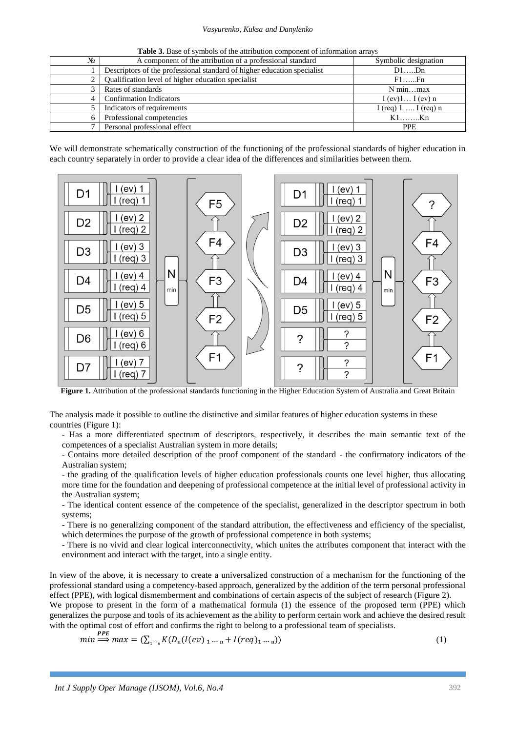#### *Vasyurenko, Kuksa and Danylenko*

| Table 3. Base of symbols of the attribution component of information arrays |  |
|-----------------------------------------------------------------------------|--|
|-----------------------------------------------------------------------------|--|

| $N_2$ | A component of the attribution of a professional standard               | Symbolic designation  |
|-------|-------------------------------------------------------------------------|-----------------------|
|       | Descriptors of the professional standard of higher education specialist | $D1$ $Dn$             |
|       | Qualification level of higher education specialist                      | $F1$ $Fn$             |
|       | Rates of standards                                                      | N minmax              |
|       | <b>Confirmation Indicators</b>                                          | I (ev)1 I (ev) n      |
|       | Indicators of requirements                                              | I (req) $1$ I (req) n |
|       | Professional competencies                                               | $K1$ $Kn$             |
|       | Personal professional effect                                            | <b>PPE</b>            |

We will demonstrate schematically construction of the functioning of the professional standards of higher education in each country separately in order to provide a clear idea of the differences and similarities between them.



**Figure 1.** Attribution of the professional standards functioning in the Higher Education System of Australia and Great Britain

The analysis made it possible to outline the distinctive and similar features of higher education systems in these countries (Figure 1):

- Has a more differentiated spectrum of descriptors, respectively, it describes the main semantic text of the competences of a specialist Australian system in more details;

- Contains more detailed description of the proof component of the standard - the confirmatory indicators of the Australian system;

- the grading of the qualification levels of higher education professionals counts one level higher, thus allocating more time for the foundation and deepening of professional competence at the initial level of professional activity in the Australian system;

- The identical content essence of the competence of the specialist, generalized in the descriptor spectrum in both systems;

- There is no generalizing component of the standard attribution, the effectiveness and efficiency of the specialist, which determines the purpose of the growth of professional competence in both systems;

- There is no vivid and clear logical interconnectivity, which unites the attributes component that interact with the environment and interact with the target, into a single entity.

In view of the above, it is necessary to create a universalized construction of a mechanism for the functioning of the professional standard using a competency-based approach, generalized by the addition of the term personal professional effect (PPE), with logical dismemberment and combinations of certain aspects of the subject of research (Figure 2).

We propose to present in the form of a mathematical formula (1) the essence of the proposed term (PPE) which generalizes the purpose and tools of its achievement as the ability to perform certain work and achieve the desired result with the optimal cost of effort and confirms the right to belong to a professional team of specialists.

$$
min \stackrel{PPE}{\Longrightarrow} max = (\sum_{1 \cdots_n} K(D_n(I(ev)_{1 \cdots n} + I(req)_{1 \cdots n}))
$$
\n(1)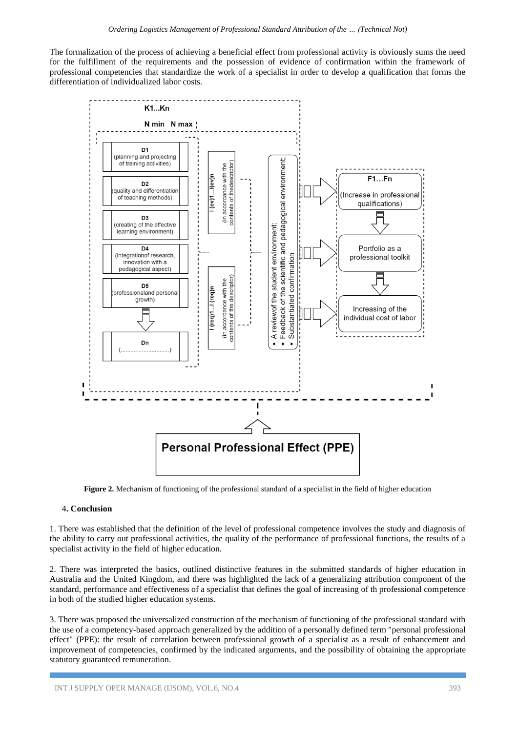The formalization of the process of achieving a beneficial effect from professional activity is obviously sums the need for the fulfillment of the requirements and the possession of evidence of confirmation within the framework of professional competencies that standardize the work of a specialist in order to develop a qualification that forms the differentiation of individualized labor costs.



**Figure 2.** Mechanism of functioning of the professional standard of a specialist in the field of higher education

### 4**. Conclusion**

1. There was established that the definition of the level of professional competence involves the study and diagnosis of the ability to carry out professional activities, the quality of the performance of professional functions, the results of a specialist activity in the field of higher education.

2. There was interpreted the basics, outlined distinctive features in the submitted standards of higher education in Australia and the United Kingdom, and there was highlighted the lack of a generalizing attribution component of the standard, performance and effectiveness of a specialist that defines the goal of increasing of th professional competence in both of the studied higher education systems.

3. There was proposed the universalized construction of the mechanism of functioning of the professional standard with the use of a competency-based approach generalized by the addition of a personally defined term "personal professional effect" (PPE): the result of correlation between professional growth of a specialist as a result of enhancement and improvement of competencies, confirmed by the indicated arguments, and the possibility of obtaining the appropriate statutory guaranteed remuneration.